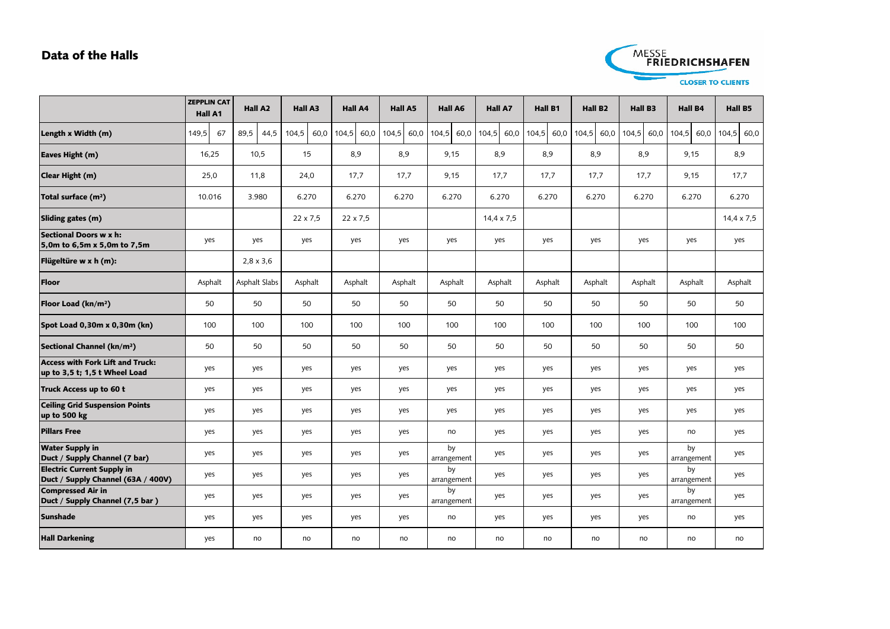## **Data of the Halls**



|                                                                          | <b>ZEPPLIN CAT</b><br>Hall A1 | <b>Hall A2</b>   | Hall A3         | Hall A4         | Hall A5       | Hall A6           | <b>Hall A7</b> | <b>Hall B1</b> | <b>Hall B2</b> | Hall B3       | <b>Hall B4</b>    | Hall B5           |
|--------------------------------------------------------------------------|-------------------------------|------------------|-----------------|-----------------|---------------|-------------------|----------------|----------------|----------------|---------------|-------------------|-------------------|
| Length x Width (m)                                                       | 149,5<br>67                   | 89,5<br>44,5     | 104,5<br>60,0   | 104,5<br>60,0   | 104,5<br>60,0 | 104,5<br>60,0     | 104,5<br>60,0  | 104,5<br>60,0  | 104,5<br>60,0  | 104,5<br>60,0 | 104,5<br>60,0     | 104,5 60,0        |
| Eaves Hight (m)                                                          | 16,25                         | 10,5             | 15              | 8,9             | 8,9           | 9,15              | 8,9            | 8,9            | 8,9            | 8,9           | 9,15              | 8,9               |
| Clear Hight (m)                                                          | 25,0                          | 11,8             | 24,0            | 17,7            | 17,7          | 9,15              | 17,7           | 17,7           | 17,7           | 17,7          | 9,15              | 17,7              |
| Total surface (m <sup>2</sup> )                                          | 10.016                        | 3.980            | 6.270           | 6.270           | 6.270         | 6.270             | 6.270          | 6.270          | 6.270          | 6.270         | 6.270             | 6.270             |
| Sliding gates (m)                                                        |                               |                  | $22 \times 7.5$ | $22 \times 7,5$ |               |                   | 14,4 x 7,5     |                |                |               |                   | $14,4 \times 7,5$ |
| Sectional Doors w x h:<br>5,0m to 6,5m x 5,0m to 7,5m                    | yes                           | yes              | yes             | yes             | yes           | yes               | yes            | yes            | yes            | yes           | yes               | yes               |
| Flügeltüre w x h (m):                                                    |                               | $2,8 \times 3,6$ |                 |                 |               |                   |                |                |                |               |                   |                   |
| <b>Floor</b>                                                             | Asphalt                       | Asphalt Slabs    | Asphalt         | Asphalt         | Asphalt       | Asphalt           | Asphalt        | Asphalt        | Asphalt        | Asphalt       | Asphalt           | Asphalt           |
| Floor Load (kn/m <sup>2</sup> )                                          | 50                            | 50               | 50              | 50              | 50            | 50                | 50             | 50             | 50             | 50            | 50                | 50                |
| Spot Load 0,30m x 0,30m (kn)                                             | 100                           | 100              | 100             | 100             | 100           | 100               | 100            | 100            | 100            | 100           | 100               | 100               |
| Sectional Channel (kn/m <sup>2</sup> )                                   | 50                            | 50               | 50              | 50              | 50            | 50                | 50             | 50             | 50             | 50            | 50                | 50                |
| <b>Access with Fork Lift and Truck:</b><br>up to 3,5 t; 1,5 t Wheel Load | yes                           | yes              | yes             | yes             | yes           | yes               | yes            | yes            | yes            | yes           | yes               | yes               |
| Truck Access up to 60 t                                                  | yes                           | yes              | yes             | yes             | yes           | yes               | yes            | yes            | yes            | yes           | yes               | yes               |
| <b>Ceiling Grid Suspension Points</b><br>up to 500 kg                    | yes                           | yes              | yes             | yes             | yes           | yes               | yes            | yes            | yes            | yes           | yes               | yes               |
| <b>Pillars Free</b>                                                      | yes                           | yes              | yes             | yes             | yes           | no                | yes            | yes            | yes            | yes           | no                | yes               |
| <b>Water Supply in</b><br>Duct / Supply Channel (7 bar)                  | yes                           | yes              | yes             | yes             | yes           | by<br>arrangement | yes            | yes            | yes            | yes           | by<br>arrangement | yes               |
| <b>Electric Current Supply in</b><br>Duct / Supply Channel (63A / 400V)  | yes                           | yes              | yes             | yes             | yes           | by<br>arrangement | yes            | yes            | yes            | yes           | by<br>arrangement | yes               |
| <b>Compressed Air in</b><br>Duct / Supply Channel (7,5 bar)              | yes                           | yes              | yes             | yes             | yes           | by<br>arrangement | yes            | yes            | yes            | yes           | by<br>arrangement | yes               |
| <b>Sunshade</b>                                                          | yes                           | yes              | yes             | yes             | yes           | no                | yes            | yes            | yes            | yes           | no                | yes               |
| <b>Hall Darkening</b>                                                    | yes                           | no               | no              | no              | no            | no                | no             | no             | no             | no            | no                | no                |